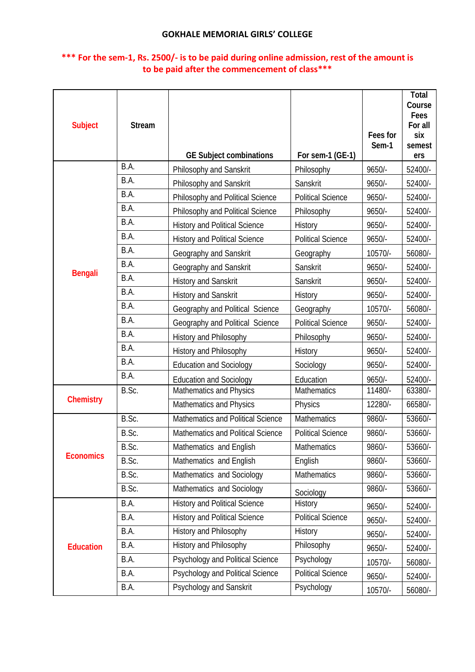| <b>Subject</b>   | <b>Stream</b> | <b>GE Subject combinations</b>       | For sem-1 (GE-1)         | Fees for<br>Sem-1 | Total<br>Course<br>Fees<br>For all<br>six<br>semest<br>ers |
|------------------|---------------|--------------------------------------|--------------------------|-------------------|------------------------------------------------------------|
|                  | B.A.          | Philosophy and Sanskrit              | Philosophy               | $9650/-$          | 52400/-                                                    |
|                  | B.A.          | Philosophy and Sanskrit              | Sanskrit                 | 9650/-            | 52400/-                                                    |
|                  | B.A.          | Philosophy and Political Science     | <b>Political Science</b> | $9650/-$          | 52400/-                                                    |
|                  | B.A.          | Philosophy and Political Science     | Philosophy               | 9650/-            | 52400/-                                                    |
|                  | B.A.          | <b>History and Political Science</b> | History                  | 9650/-            | 52400/-                                                    |
|                  | B.A.          | <b>History and Political Science</b> | <b>Political Science</b> | 9650/-            | 52400/-                                                    |
|                  | B.A.          | Geography and Sanskrit               | Geography                | 10570/-           | 56080/-                                                    |
|                  | B.A.          | Geography and Sanskrit               | Sanskrit                 | 9650/-            | 52400/-                                                    |
| <b>Bengali</b>   | B.A.          | <b>History and Sanskrit</b>          | Sanskrit                 | 9650/-            | 52400/-                                                    |
|                  | B.A.          | History and Sanskrit                 | History                  | 9650/-            | 52400/-                                                    |
|                  | B.A.          | Geography and Political Science      | Geography                | 10570/-           | 56080/-                                                    |
|                  | B.A.          | Geography and Political Science      | <b>Political Science</b> | 9650/-            | 52400/-                                                    |
|                  | B.A.          | History and Philosophy               | Philosophy               | $9650/-$          | 52400/-                                                    |
|                  | B.A.          | History and Philosophy               | History                  | $9650/-$          | 52400/-                                                    |
|                  | B.A.          | <b>Education and Sociology</b>       | Sociology                | 9650/-            | 52400/-                                                    |
|                  | B.A.          | <b>Education and Sociology</b>       | Education                | 9650/-            | 52400/-                                                    |
| <b>Chemistry</b> | B.Sc.         | Mathematics and Physics              | <b>Mathematics</b>       | 11480/-           | 63380/-                                                    |
|                  |               | Mathematics and Physics              | Physics                  | 12280/-           | 66580/-                                                    |
|                  | B.Sc.         | Mathematics and Political Science    | Mathematics              | 9860/-            | 53660/-                                                    |
|                  | B.Sc.         | Mathematics and Political Science    | <b>Political Science</b> | 9860/-            | 53660/-                                                    |
| <b>Economics</b> | B.Sc.         | Mathematics and English              | Mathematics              | 9860/-            | $\overline{53660}$ /-                                      |
|                  | B.Sc.         | Mathematics and English              | English                  | 9860/-            | 53660/-                                                    |
|                  | B.Sc.         | Mathematics and Sociology            | Mathematics              | 9860/-            | 53660/-                                                    |
|                  | B.Sc.         | Mathematics and Sociology            | Sociology                | 9860/-            | 53660/-                                                    |
|                  | B.A.          | <b>History and Political Science</b> | History                  | $9650/-$          | 52400/-                                                    |
|                  | B.A.          | <b>History and Political Science</b> | <b>Political Science</b> | 9650/-            | 52400/-                                                    |
|                  | B.A.          | History and Philosophy               | History                  | 9650/-            | 52400/-                                                    |
| <b>Education</b> | B.A.          | History and Philosophy               | Philosophy               | $9650/-$          | 52400/-                                                    |
|                  | B.A.          | Psychology and Political Science     | Psychology               | 10570/-           | 56080/-                                                    |
|                  | B.A.          | Psychology and Political Science     | <b>Political Science</b> | 9650/-            | 52400/-                                                    |
|                  | B.A.          | Psychology and Sanskrit              | Psychology               | 10570/-           | 56080/-                                                    |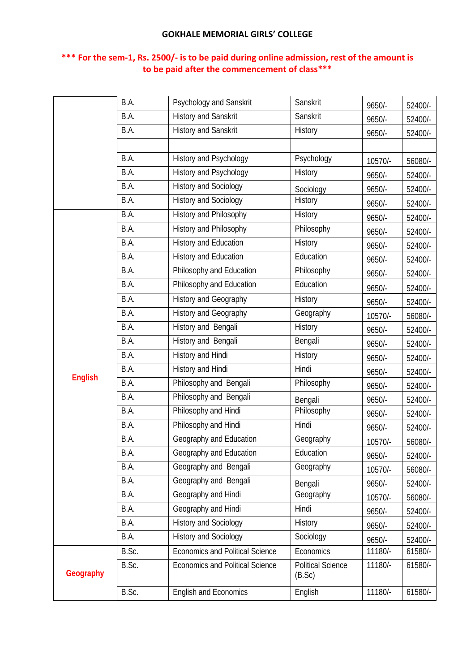|                | B.A.  | Psychology and Sanskrit                | Sanskrit                           | 9650/-   | 52400/- |
|----------------|-------|----------------------------------------|------------------------------------|----------|---------|
|                | B.A.  | <b>History and Sanskrit</b>            | Sanskrit                           | 9650/-   | 52400/- |
|                | B.A.  | History and Sanskrit                   | History                            | 9650/-   | 52400/- |
|                |       |                                        |                                    |          |         |
|                | B.A.  | History and Psychology                 | Psychology                         | 10570/-  | 56080/- |
|                | B.A.  | History and Psychology                 | History                            | 9650/-   | 52400/- |
|                | B.A.  | <b>History and Sociology</b>           | Sociology                          | 9650/-   | 52400/- |
|                | B.A.  | <b>History and Sociology</b>           | History                            | 9650/-   | 52400/- |
|                | B.A.  | History and Philosophy                 | History                            | 9650/-   | 52400/- |
|                | B.A.  | History and Philosophy                 | Philosophy                         | 9650/-   | 52400/- |
|                | B.A.  | History and Education                  | History                            | 9650/-   | 52400/- |
|                | B.A.  | History and Education                  | Education                          | 9650/-   | 52400/- |
|                | B.A.  | Philosophy and Education               | Philosophy                         | 9650/-   | 52400/- |
|                | B.A.  | Philosophy and Education               | Education                          | 9650/-   | 52400/- |
|                | B.A.  | History and Geography                  | <b>History</b>                     | 9650/-   | 52400/- |
|                | B.A.  | History and Geography                  | Geography                          | 10570/-  | 56080/- |
|                | B.A.  | History and Bengali                    | History                            | 9650/-   | 52400/- |
|                | B.A.  | History and Bengali                    | Bengali                            | 9650/-   | 52400/- |
|                | B.A.  | History and Hindi                      | History                            | 9650/-   | 52400/- |
|                | B.A.  | History and Hindi                      | Hindi                              | 9650/-   | 52400/- |
| <b>English</b> | B.A.  | Philosophy and Bengali                 | Philosophy                         | 9650/-   | 52400/- |
|                | B.A.  | Philosophy and Bengali                 | Bengali                            | 9650/-   | 52400/- |
|                | B.A.  | Philosophy and Hindi                   | Philosophy                         | 9650/-   | 52400/- |
|                | B.A.  | Philosophy and Hindi                   | Hindi                              | 9650/-   | 52400/- |
|                | B.A.  | Geography and Education                | Geography                          | 10570/-  | 56080/- |
|                | B.A.  | Geography and Education                | Education                          | 9650/-   | 52400/- |
|                | B.A.  | Geography and Bengali                  | Geography                          | 10570/-  | 56080/- |
|                | B.A.  | Geography and Bengali                  | Bengali                            | 9650/-   | 52400/- |
|                | B.A.  | Geography and Hindi                    | Geography                          | 10570/-  | 56080/- |
|                | B.A.  | Geography and Hindi                    | Hindi                              | $9650/-$ | 52400/- |
|                | B.A.  | <b>History and Sociology</b>           | History                            | 9650/-   | 52400/- |
|                | B.A.  | <b>History and Sociology</b>           | Sociology                          | $9650/-$ | 52400/- |
|                | B.Sc. | <b>Economics and Political Science</b> | Economics                          | 11180/-  | 61580/- |
| Geography      | B.Sc. | <b>Economics and Political Science</b> | <b>Political Science</b><br>(B.Sc) | 11180/-  | 61580/- |
|                | B.Sc. | <b>English and Economics</b>           | English                            | 11180/-  | 61580/- |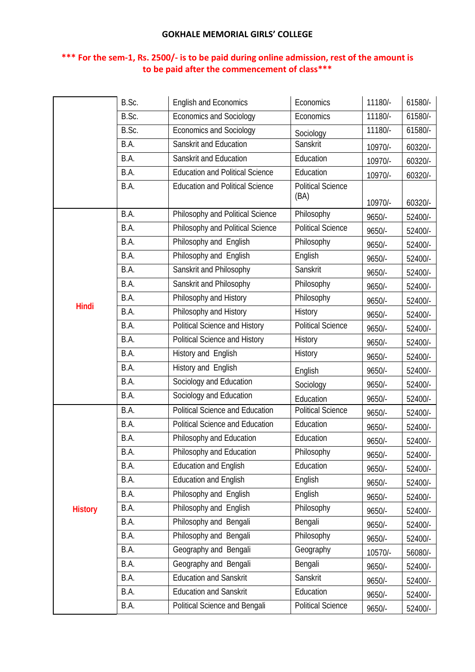|                | B.Sc. | <b>English and Economics</b>           | Economics                        | 11180/-  | 61580/- |
|----------------|-------|----------------------------------------|----------------------------------|----------|---------|
|                | B.Sc. | <b>Economics and Sociology</b>         | Economics                        | 11180/-  | 61580/- |
|                | B.Sc. | <b>Economics and Sociology</b>         | Sociology                        | 11180/-  | 61580/- |
|                | B.A.  | Sanskrit and Education                 | Sanskrit                         | 10970/-  | 60320/- |
|                | B.A.  | Sanskrit and Education                 | Education                        | 10970/-  | 60320/- |
|                | B.A.  | <b>Education and Political Science</b> | Education                        | 10970/-  | 60320/- |
|                | B.A.  | <b>Education and Political Science</b> | <b>Political Science</b><br>(BA) | 10970/-  | 60320/- |
|                | B.A.  | Philosophy and Political Science       | Philosophy                       | 9650/-   | 52400/- |
|                | B.A.  | Philosophy and Political Science       | <b>Political Science</b>         | 9650/-   | 52400/- |
|                | B.A.  | Philosophy and English                 | Philosophy                       | $9650/-$ | 52400/- |
|                | B.A.  | Philosophy and English                 | English                          | 9650/-   | 52400/- |
|                | B.A.  | Sanskrit and Philosophy                | Sanskrit                         | 9650/-   | 52400/- |
|                | B.A.  | Sanskrit and Philosophy                | Philosophy                       | 9650/-   | 52400/- |
|                | B.A.  | Philosophy and History                 | Philosophy                       | 9650/-   | 52400/- |
| Hindi          | B.A.  | Philosophy and History                 | History                          | 9650/-   | 52400/- |
|                | B.A.  | Political Science and History          | <b>Political Science</b>         | 9650/-   | 52400/- |
|                | B.A.  | Political Science and History          | History                          | 9650/-   | 52400/- |
|                | B.A.  | History and English                    | History                          | 9650/-   | 52400/- |
|                | B.A.  | History and English                    | English                          | 9650/-   | 52400/- |
|                | B.A.  | Sociology and Education                | Sociology                        | 9650/-   | 52400/- |
|                | B.A.  | Sociology and Education                | Education                        | 9650/-   | 52400/- |
|                | B.A.  | <b>Political Science and Education</b> | <b>Political Science</b>         | 9650/-   | 52400/- |
|                | B.A.  | <b>Political Science and Education</b> | Education                        | 9650/-   | 52400/- |
|                | B.A.  | Philosophy and Education               | Education                        | 9650/-   | 52400/- |
|                | B.A.  | Philosophy and Education               | Philosophy                       | 9650/-   | 52400/- |
|                | B.A.  | <b>Education and English</b>           | Education                        | 9650/-   | 52400/- |
|                | B.A.  | <b>Education and English</b>           | English                          | 9650/-   | 52400/- |
|                | B.A.  | Philosophy and English                 | English                          | 9650/-   | 52400/- |
| <b>History</b> | B.A.  | Philosophy and English                 | Philosophy                       | 9650/-   | 52400/- |
|                | B.A.  | Philosophy and Bengali                 | Bengali                          | 9650/-   | 52400/- |
|                | B.A.  | Philosophy and Bengali                 | Philosophy                       | 9650/-   | 52400/- |
|                | B.A.  | Geography and Bengali                  | Geography                        | 10570/-  | 56080/- |
|                | B.A.  | Geography and Bengali                  | Bengali                          | 9650/-   | 52400/- |
|                | B.A.  | <b>Education and Sanskrit</b>          | Sanskrit                         | 9650/-   | 52400/- |
|                | B.A.  | <b>Education and Sanskrit</b>          | Education                        | 9650/-   | 52400/- |
|                | B.A.  | Political Science and Bengali          | <b>Political Science</b>         | 9650/-   | 52400/- |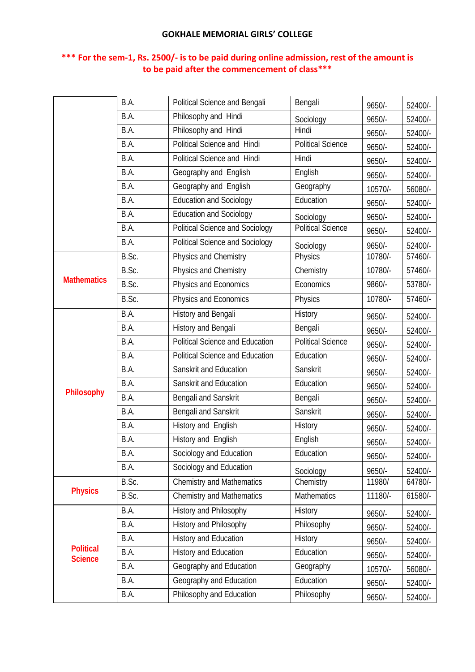|                                    | B.A.  | Political Science and Bengali          | Bengali                  | 9650/-   | 52400/- |
|------------------------------------|-------|----------------------------------------|--------------------------|----------|---------|
|                                    | B.A.  | Philosophy and Hindi                   | Sociology                | $9650/-$ | 52400/- |
|                                    | B.A.  | Philosophy and Hindi                   | Hindi                    | 9650/-   | 52400/- |
|                                    | B.A.  | Political Science and Hindi            | <b>Political Science</b> | $9650/-$ | 52400/- |
|                                    | B.A.  | Political Science and Hindi            | Hindi                    | 9650/-   | 52400/- |
|                                    | B.A.  | Geography and English                  | English                  | 9650/-   | 52400/- |
|                                    | B.A.  | Geography and English                  | Geography                | 10570/-  | 56080/- |
|                                    | B.A.  | <b>Education and Sociology</b>         | Education                | 9650/-   | 52400/- |
|                                    | B.A.  | <b>Education and Sociology</b>         | Sociology                | 9650/-   | 52400/- |
|                                    | B.A.  | Political Science and Sociology        | <b>Political Science</b> | 9650/-   | 52400/- |
|                                    | B.A.  | <b>Political Science and Sociology</b> | Sociology                | $9650/-$ | 52400/- |
|                                    | B.Sc. | Physics and Chemistry                  | Physics                  | 10780/-  | 57460/- |
|                                    | B.Sc. | Physics and Chemistry                  | Chemistry                | 10780/-  | 57460/- |
| <b>Mathematics</b>                 | B.Sc. | Physics and Economics                  | Economics                | 9860/-   | 53780/- |
|                                    | B.Sc. | Physics and Economics                  | Physics                  | 10780/-  | 57460/- |
|                                    | B.A.  | History and Bengali                    | History                  | $9650/-$ | 52400/- |
|                                    | B.A.  | History and Bengali                    | Bengali                  | 9650/-   | 52400/- |
|                                    | B.A.  | <b>Political Science and Education</b> | Political Science        | $9650/-$ | 52400/- |
|                                    | B.A.  | <b>Political Science and Education</b> | Education                | $9650/-$ | 52400/- |
|                                    | B.A.  | Sanskrit and Education                 | Sanskrit                 | 9650/-   | 52400/- |
|                                    | B.A.  | Sanskrit and Education                 | Education                | 9650/-   | 52400/- |
| Philosophy                         | B.A.  | Bengali and Sanskrit                   | Bengali                  | 9650/-   | 52400/- |
|                                    | B.A.  | Bengali and Sanskrit                   | Sanskrit                 | 9650/-   | 52400/- |
|                                    | B.A.  | History and English                    | History                  | $9650/-$ | 52400/- |
|                                    | B.A.  | History and English                    | English                  | $9650/-$ | 52400/- |
|                                    | B.A.  | Sociology and Education                | Education                | 9650/-   | 52400/- |
|                                    | B.A.  | Sociology and Education                | Sociology                | 9650/-   | 52400/- |
|                                    | B.Sc. | <b>Chemistry and Mathematics</b>       | Chemistry                | 11980/   | 64780/- |
| <b>Physics</b>                     | B.Sc. | <b>Chemistry and Mathematics</b>       | <b>Mathematics</b>       | 11180/-  | 61580/- |
|                                    | B.A.  | History and Philosophy                 | History                  | 9650/-   | 52400/- |
| <b>Political</b><br><b>Science</b> | B.A.  | History and Philosophy                 | Philosophy               | $9650/-$ | 52400/- |
|                                    | B.A.  | History and Education                  | History                  | 9650/-   | 52400/- |
|                                    | B.A.  | History and Education                  | Education                | 9650/-   | 52400/- |
|                                    | B.A.  | Geography and Education                | Geography                | 10570/-  | 56080/- |
|                                    | B.A.  | Geography and Education                | Education                | $9650/-$ | 52400/- |
|                                    | B.A.  | Philosophy and Education               | Philosophy               | 9650/-   | 52400/- |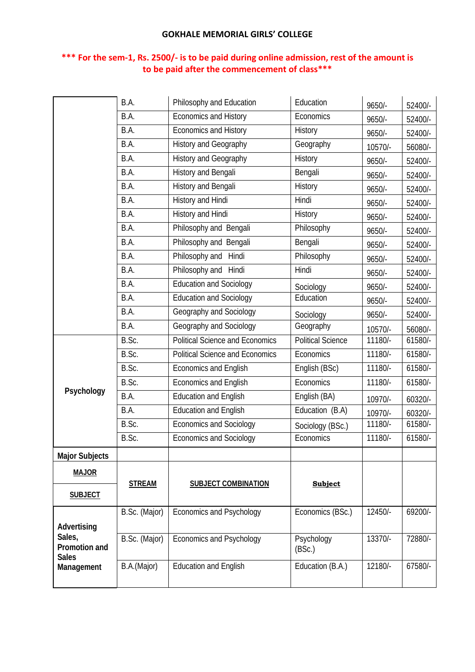|                                         | B.A.          | Philosophy and Education               | Education                | 9650/-   | 52400/- |
|-----------------------------------------|---------------|----------------------------------------|--------------------------|----------|---------|
|                                         | B.A.          | Economics and History                  | Economics                | $9650/-$ | 52400/- |
|                                         | B.A.          | <b>Economics and History</b>           | History                  | $9650/-$ | 52400/- |
|                                         | B.A.          | History and Geography                  | Geography                | 10570/-  | 56080/- |
|                                         | B.A.          | History and Geography                  | History                  | 9650/-   | 52400/- |
|                                         | B.A.          | History and Bengali                    | Bengali                  | 9650/-   | 52400/- |
|                                         | B.A.          | History and Bengali                    | History                  | 9650/-   | 52400/- |
|                                         | B.A.          | History and Hindi                      | Hindi                    | $9650/-$ | 52400/- |
|                                         | B.A.          | History and Hindi                      | History                  | $9650/-$ | 52400/- |
|                                         | B.A.          | Philosophy and Bengali                 | Philosophy               | 9650/-   | 52400/- |
|                                         | B.A.          | Philosophy and Bengali                 | Bengali                  | 9650/-   | 52400/- |
|                                         | B.A.          | Philosophy and Hindi                   | Philosophy               | 9650/-   | 52400/- |
|                                         | B.A.          | Philosophy and Hindi                   | Hindi                    | 9650/-   | 52400/- |
|                                         | B.A.          | Education and Sociology                | Sociology                | 9650/-   | 52400/- |
|                                         | B.A.          | Education and Sociology                | Education                | 9650/-   | 52400/- |
|                                         | B.A.          | Geography and Sociology                | Sociology                | 9650/-   | 52400/- |
|                                         | B.A.          | Geography and Sociology                | Geography                | 10570/-  | 56080/- |
|                                         | B.Sc.         | <b>Political Science and Economics</b> | <b>Political Science</b> | 11180/-  | 61580/- |
|                                         | B.Sc.         | <b>Political Science and Economics</b> | Economics                | 11180/-  | 61580/- |
|                                         | B.Sc.         | <b>Economics and English</b>           | English (BSc)            | 11180/-  | 61580/- |
|                                         | B.Sc.         | <b>Economics and English</b>           | Economics                | 11180/-  | 61580/- |
| Psychology                              | B.A.          | <b>Education and English</b>           | English (BA)             | 10970/-  | 60320/- |
|                                         | B.A.          | <b>Education and English</b>           | Education (B.A)          | 10970/-  | 60320/- |
|                                         | B.Sc.         | <b>Economics and Sociology</b>         | Sociology (BSc.)         | 11180/-  | 61580/- |
|                                         | B.Sc.         | <b>Economics and Sociology</b>         | Economics                | 11180/-  | 61580/- |
| <b>Major Subjects</b>                   |               |                                        |                          |          |         |
| <b>MAJOR</b>                            |               |                                        |                          |          |         |
|                                         | <b>STREAM</b> | <b>SUBJECT COMBINATION</b>             | <b>Subject</b>           |          |         |
| <b>SUBJECT</b>                          |               |                                        |                          |          |         |
|                                         | B.Sc. (Major) | Economics and Psychology               | Economics (BSc.)         | 12450/-  | 69200/- |
| Advertising                             |               |                                        |                          |          |         |
| Sales,<br>Promotion and<br><b>Sales</b> | B.Sc. (Major) | <b>Economics and Psychology</b>        | Psychology<br>(BSc.)     | 13370/-  | 72880/- |
| Management                              | B.A.(Major)   | <b>Education and English</b>           | Education (B.A.)         | 12180/-  | 67580/- |
|                                         |               |                                        |                          |          |         |